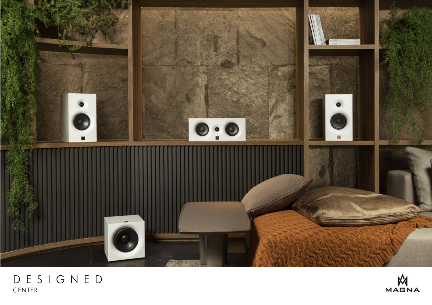

## DESIGNED CENTER